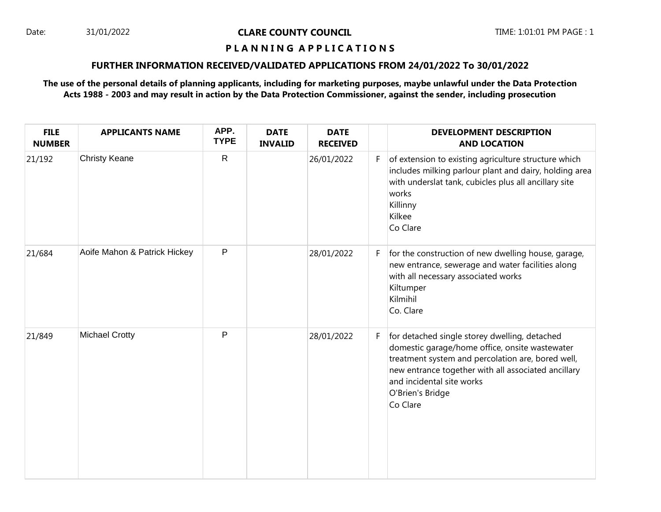### Date: 31/01/2022 **CLARE COUNTY COUNCIL** TIME: 1:01:01 PM PAGE : 1

### **P L A N N I N G A P P L I C A T I O N S**

### **FURTHER INFORMATION RECEIVED/VALIDATED APPLICATIONS FROM 24/01/2022 To 30/01/2022**

# **The use of the personal details of planning applicants, including for marketing purposes, maybe unlawful under the Data Protection Acts 1988 - 2003 and may result in action by the Data Protection Commissioner, against the sender, including prosecution**

| <b>FILE</b><br><b>NUMBER</b> | <b>APPLICANTS NAME</b>       | APP.<br><b>TYPE</b> | <b>DATE</b><br><b>INVALID</b> | <b>DATE</b><br><b>RECEIVED</b> |    | <b>DEVELOPMENT DESCRIPTION</b><br><b>AND LOCATION</b>                                                                                                                                                                                                                    |
|------------------------------|------------------------------|---------------------|-------------------------------|--------------------------------|----|--------------------------------------------------------------------------------------------------------------------------------------------------------------------------------------------------------------------------------------------------------------------------|
| 21/192                       | <b>Christy Keane</b>         | $\mathsf{R}$        |                               | 26/01/2022                     | F. | of extension to existing agriculture structure which<br>includes milking parlour plant and dairy, holding area<br>with underslat tank, cubicles plus all ancillary site<br>works<br>Killinny<br>Kilkee<br>Co Clare                                                       |
| 21/684                       | Aoife Mahon & Patrick Hickey | $\mathsf{P}$        |                               | 28/01/2022                     | F. | for the construction of new dwelling house, garage,<br>new entrance, sewerage and water facilities along<br>with all necessary associated works<br>Kiltumper<br>Kilmihil<br>Co. Clare                                                                                    |
| 21/849                       | <b>Michael Crotty</b>        | P                   |                               | 28/01/2022                     | F. | for detached single storey dwelling, detached<br>domestic garage/home office, onsite wastewater<br>treatment system and percolation are, bored well,<br>new entrance together with all associated ancillary<br>and incidental site works<br>O'Brien's Bridge<br>Co Clare |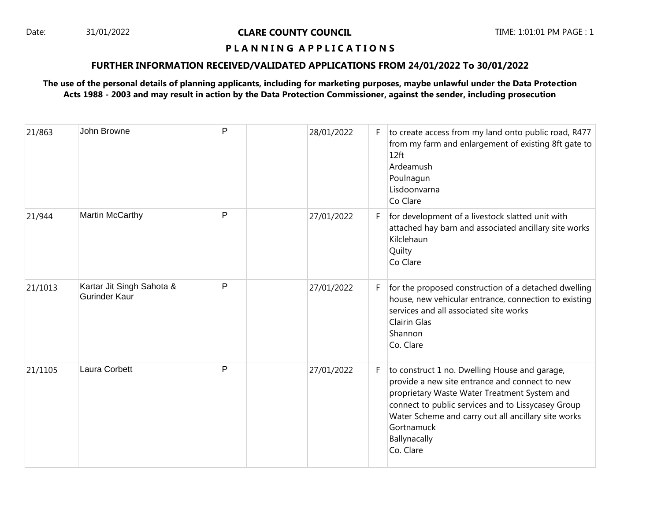### Date: 31/01/2022 **CLARE COUNTY COUNCIL** TIME: 1:01:01 PM PAGE : 1

### **P L A N N I N G A P P L I C A T I O N S**

### **FURTHER INFORMATION RECEIVED/VALIDATED APPLICATIONS FROM 24/01/2022 To 30/01/2022**

# **The use of the personal details of planning applicants, including for marketing purposes, maybe unlawful under the Data Protection Acts 1988 - 2003 and may result in action by the Data Protection Commissioner, against the sender, including prosecution**

| 21/863  | John Browne                                | P | 28/01/2022 | F. | to create access from my land onto public road, R477<br>from my farm and enlargement of existing 8ft gate to<br>12 <sub>ft</sub><br>Ardeamush<br>Poulnagun<br>Lisdoonvarna<br>Co Clare                                                                                                                  |
|---------|--------------------------------------------|---|------------|----|---------------------------------------------------------------------------------------------------------------------------------------------------------------------------------------------------------------------------------------------------------------------------------------------------------|
| 21/944  | Martin McCarthy                            | P | 27/01/2022 | F. | for development of a livestock slatted unit with<br>attached hay barn and associated ancillary site works<br>Kilclehaun<br>Quilty<br>Co Clare                                                                                                                                                           |
| 21/1013 | Kartar Jit Singh Sahota &<br>Gurinder Kaur | P | 27/01/2022 | F. | for the proposed construction of a detached dwelling<br>house, new vehicular entrance, connection to existing<br>services and all associated site works<br><b>Clairin Glas</b><br>Shannon<br>Co. Clare                                                                                                  |
| 21/1105 | Laura Corbett                              | P | 27/01/2022 | F. | to construct 1 no. Dwelling House and garage,<br>provide a new site entrance and connect to new<br>proprietary Waste Water Treatment System and<br>connect to public services and to Lissycasey Group<br>Water Scheme and carry out all ancillary site works<br>Gortnamuck<br>Ballynacally<br>Co. Clare |